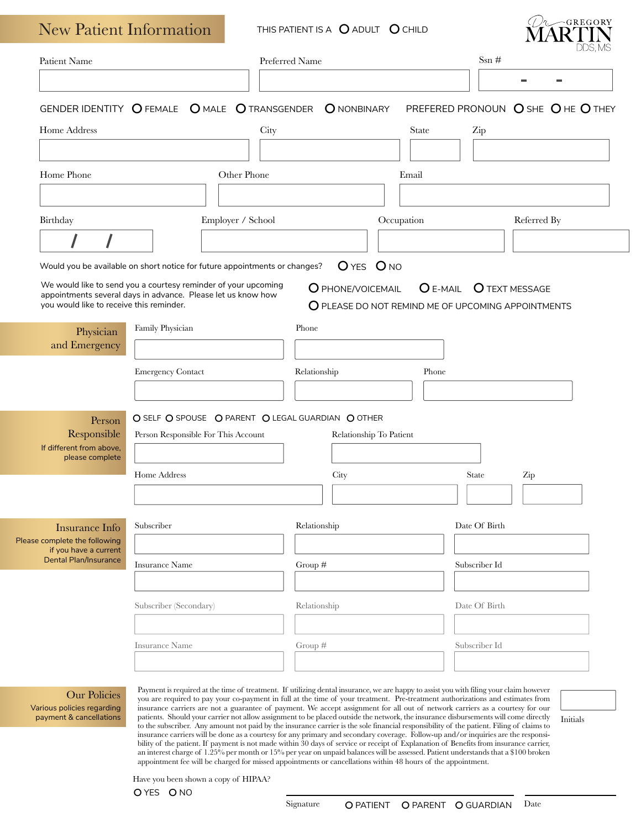| Patient Name                                           |                                                                                                                                |                   | Preferred Name    |                         | $\mathrm{Ssn} \; \#$                  |                                                    |
|--------------------------------------------------------|--------------------------------------------------------------------------------------------------------------------------------|-------------------|-------------------|-------------------------|---------------------------------------|----------------------------------------------------|
|                                                        |                                                                                                                                |                   |                   |                         |                                       |                                                    |
|                                                        | GENDER IDENTITY OFEMALE OMALE OTRANSGENDER                                                                                     |                   | O NONBINARY       |                         |                                       | PREFERED PRONOUN O SHE OHE OTHEY                   |
| Home Address                                           |                                                                                                                                | City              |                   | <b>State</b>            | Zip                                   |                                                    |
|                                                        |                                                                                                                                |                   |                   |                         |                                       |                                                    |
| Home Phone                                             |                                                                                                                                | Other Phone       |                   | Email                   |                                       |                                                    |
|                                                        |                                                                                                                                |                   |                   |                         |                                       |                                                    |
| Birthday                                               |                                                                                                                                | Employer / School |                   | Occupation              |                                       | Referred By                                        |
|                                                        |                                                                                                                                |                   |                   |                         |                                       |                                                    |
|                                                        |                                                                                                                                |                   |                   |                         |                                       |                                                    |
|                                                        | Would you be available on short notice for future appointments or changes?                                                     |                   |                   | OYES ONO                |                                       |                                                    |
|                                                        | We would like to send you a courtesy reminder of your upcoming<br>appointments several days in advance. Please let us know how |                   | O PHONE/VOICEMAIL |                         | <b>O</b> E-MAIL <b>O</b> TEXT MESSAGE |                                                    |
| you would like to receive this reminder.               |                                                                                                                                |                   |                   |                         |                                       | O PLEASE DO NOT REMIND ME OF UPCOMING APPOINTMENTS |
| Physician                                              | Family Physician                                                                                                               |                   | Phone             |                         |                                       |                                                    |
| and Emergency                                          |                                                                                                                                |                   |                   |                         |                                       |                                                    |
|                                                        | <b>Emergency Contact</b>                                                                                                       |                   | Relationship      |                         | Phone                                 |                                                    |
|                                                        |                                                                                                                                |                   |                   |                         |                                       |                                                    |
|                                                        |                                                                                                                                |                   |                   |                         |                                       |                                                    |
|                                                        |                                                                                                                                |                   |                   |                         |                                       |                                                    |
| Person<br>Responsible                                  | O SELF O SPOUSE O PARENT O LEGAL GUARDIAN O OTHER<br>Person Responsible For This Account                                       |                   |                   | Relationship To Patient |                                       |                                                    |
| If different from above,                               |                                                                                                                                |                   |                   |                         |                                       |                                                    |
| please complete                                        | Home Address                                                                                                                   |                   | City              |                         | <b>State</b>                          | Zip                                                |
|                                                        |                                                                                                                                |                   |                   |                         |                                       |                                                    |
|                                                        |                                                                                                                                |                   |                   |                         |                                       |                                                    |
| <b>Insurance Info</b>                                  | Subscriber                                                                                                                     |                   | Relationship      |                         | Date Of Birth                         |                                                    |
| Please complete the following<br>if you have a current |                                                                                                                                |                   |                   |                         |                                       |                                                    |
| <b>Dental Plan/Insurance</b>                           | <b>Insurance Name</b>                                                                                                          |                   | Group $#$         |                         | Subscriber Id                         |                                                    |
|                                                        |                                                                                                                                |                   |                   |                         |                                       |                                                    |
|                                                        | Subscriber (Secondary)                                                                                                         |                   | Relationship      |                         | Date Of Birth                         |                                                    |
|                                                        |                                                                                                                                |                   |                   |                         |                                       |                                                    |
|                                                        | <b>Insurance Name</b>                                                                                                          |                   | Group $#$         |                         | Subscriber Id                         |                                                    |
|                                                        |                                                                                                                                |                   |                   |                         |                                       |                                                    |

insurance carriers will be done as a courtesy for any primary and secondary coverage. Follow-up and/or inquiries are the responsibility of the patient. If payment is not made within 30 days of service or receipt of Explanation of Benefits from insurance carrier, an interest charge of 1.25% per month or 15% per year on unpaid balances will be assessed. Patient understands that a \$100 broken appointment fee will be charged for missed appointments or cancellations within 48 hours of the appointment.

Have you been shown a copy of HIPAA?

O YES O NO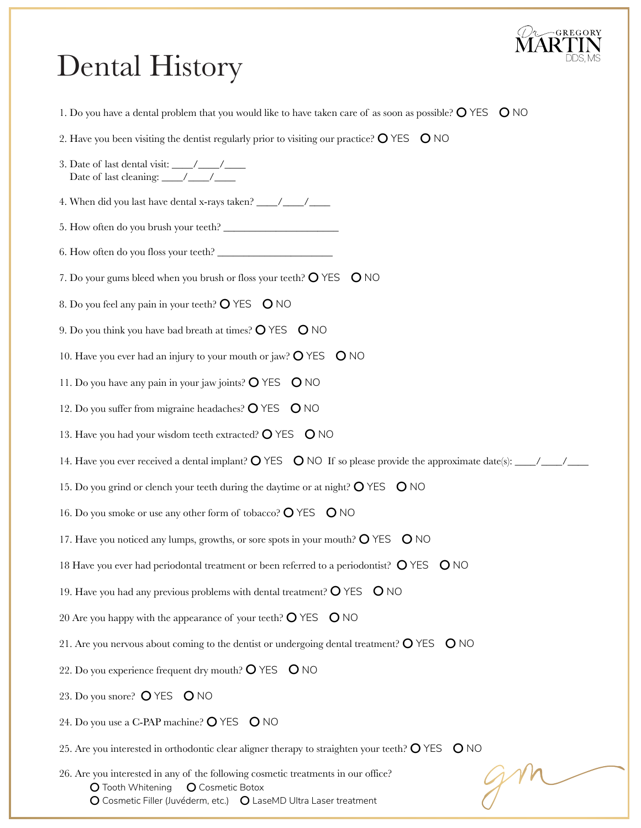

## Dental History

| 1. Do you have a dental problem that you would like to have taken care of as soon as possible? $\bigcirc$ YES $\bigcirc$ NO |
|-----------------------------------------------------------------------------------------------------------------------------|
| 2. Have you been visiting the dentist regularly prior to visiting our practice? $\bigcirc$ YES $\bigcirc$ NO                |
|                                                                                                                             |
|                                                                                                                             |
|                                                                                                                             |
|                                                                                                                             |
| 7. Do your gums bleed when you brush or floss your teeth? O YES O NO                                                        |
| 8. Do you feel any pain in your teeth? $\bigcirc$ YES $\bigcirc$ NO                                                         |
| 9. Do you think you have bad breath at times? $\bigcirc$ YES $\bigcirc$ NO                                                  |
| 10. Have you ever had an injury to your mouth or jaw? $\bigcirc$ YES $\bigcirc$ NO                                          |
| 11. Do you have any pain in your jaw joints? $\bigcirc$ YES $\bigcirc$ NO                                                   |
| 12. Do you suffer from migraine headaches? $\bigcirc$ YES $\bigcirc$ NO                                                     |
| 13. Have you had your wisdom teeth extracted? O YES O NO                                                                    |
|                                                                                                                             |
| 15. Do you grind or clench your teeth during the daytime or at night? O YES O NO                                            |
| 16. Do you smoke or use any other form of tobacco? $\bigcirc$ YES $\bigcirc$ NO                                             |
| 17. Have you noticed any lumps, growths, or sore spots in your mouth? O YES O NO                                            |
| 18 Have you ever had periodontal treatment or been referred to a periodontist? O YES O NO                                   |
| 19. Have you had any previous problems with dental treatment? $\bigcirc$ YES $\bigcirc$ NO                                  |
| 20 Are you happy with the appearance of your teeth? $\bigcirc$ YES $\bigcirc$ NO                                            |
| 21. Are you nervous about coming to the dentist or undergoing dental treatment? $\bigcirc$ YES $\bigcirc$ NO                |
| 22. Do you experience frequent dry mouth? $\bigcirc$ YES $\bigcirc$ NO                                                      |
| 23. Do you snore? O YES O NO                                                                                                |
| 24. Do you use a C-PAP machine? O YES O NO                                                                                  |
| 25. Are you interested in orthodontic clear aligner therapy to straighten your teeth? $\bigcirc$ YES $\bigcirc$ NO          |
|                                                                                                                             |

26. Are you interested in any of the following cosmetic treatments in our office? O Tooth Whitening O Cosmetic Botox O Cosmetic Filler (Juvéderm, etc.) O LaseMD Ultra Laser treatment